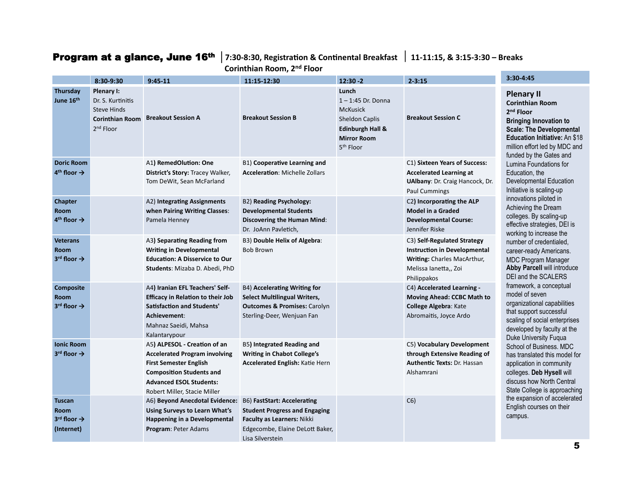## **Program at a glance, June 16th** | 7:30-8:30, Registration & Continental Breakfast | 11-11:15, & 3:15-3:30 - Breaks

Corinthian Room, 2<sup>nd</sup> Floor

|                                                                            | 8:30-9:30                                                                                                | $9:45-11$                                                                                                                                                                                                  | 11:15-12:30                                                                                                                                              | $12:30 - 2$                                                                                                                                             | $2 - 3:15$                                                                                                                                | 3:30-4:45                                                                                                                                                                                                                                                                                                                                                                                                                                                                                                                                                                                                                                                                                                                                                                                                                                                                                                                                                                                                                                                                                 |
|----------------------------------------------------------------------------|----------------------------------------------------------------------------------------------------------|------------------------------------------------------------------------------------------------------------------------------------------------------------------------------------------------------------|----------------------------------------------------------------------------------------------------------------------------------------------------------|---------------------------------------------------------------------------------------------------------------------------------------------------------|-------------------------------------------------------------------------------------------------------------------------------------------|-------------------------------------------------------------------------------------------------------------------------------------------------------------------------------------------------------------------------------------------------------------------------------------------------------------------------------------------------------------------------------------------------------------------------------------------------------------------------------------------------------------------------------------------------------------------------------------------------------------------------------------------------------------------------------------------------------------------------------------------------------------------------------------------------------------------------------------------------------------------------------------------------------------------------------------------------------------------------------------------------------------------------------------------------------------------------------------------|
| Thursday<br>June 16th                                                      | Plenary I:<br>Dr. S. Kurtinitis<br><b>Steve Hinds</b><br><b>Corinthian Room</b><br>2 <sup>nd</sup> Floor | <b>Breakout Session A</b>                                                                                                                                                                                  | <b>Breakout Session B</b>                                                                                                                                | Lunch<br>$1 - 1:45$ Dr. Donna<br><b>McKusick</b><br><b>Sheldon Caplis</b><br><b>Edinburgh Hall &amp;</b><br><b>Mirror Room</b><br>5 <sup>th</sup> Floor | <b>Breakout Session C</b>                                                                                                                 | <b>Plenary II</b><br><b>Corinthian Room</b><br>2 <sup>nd</sup> Floor<br><b>Bringing Innovation to</b><br><b>Scale: The Developmental</b><br>Education Initiative: An \$18<br>million effort led by MDC and<br>funded by the Gates and<br>Lumina Foundations for<br>Education, the<br>Developmental Education<br>Initiative is scaling-up<br>innovations piloted in<br>Achieving the Dream<br>colleges. By scaling-up<br>effective strategies, DEI is<br>working to increase the<br>number of credentialed.<br>career-ready Americans.<br><b>MDC Program Manager</b><br><b>Abby Parcell will introduce</b><br>DEI and the SCALERS<br>framework, a conceptual<br>model of seven<br>organizational capabilities<br>that support successful<br>scaling of social enterprises<br>developed by faculty at the<br>Duke University Fuqua<br>School of Business, MDC<br>has translated this model for<br>application in community<br>colleges. Deb Hysell will<br>discuss how North Central<br>State College is approaching<br>the expansion of accelerated<br>English courses on their<br>campus. |
| <b>Doric Room</b><br>$4th$ floor $\rightarrow$                             |                                                                                                          | A1) RemedOlution: One<br>District's Story: Tracey Walker,<br>Tom DeWit, Sean McFarland                                                                                                                     | B1) Cooperative Learning and<br><b>Acceleration: Michelle Zollars</b>                                                                                    |                                                                                                                                                         | C1) Sixteen Years of Success:<br><b>Accelerated Learning at</b><br>UAlbany: Dr. Craig Hancock, Dr.<br><b>Paul Cummings</b>                |                                                                                                                                                                                                                                                                                                                                                                                                                                                                                                                                                                                                                                                                                                                                                                                                                                                                                                                                                                                                                                                                                           |
| <b>Chapter</b><br>Room<br>$4th$ floor $\rightarrow$                        |                                                                                                          | A2) Integrating Assignments<br>when Pairing Writing Classes:<br>Pamela Henney                                                                                                                              | B2) Reading Psychology:<br><b>Developmental Students</b><br>Discovering the Human Mind:<br>Dr. JoAnn Pavletich,                                          |                                                                                                                                                         | C2) Incorporating the ALP<br><b>Model in a Graded</b><br><b>Developmental Course:</b><br>Jennifer Riske                                   |                                                                                                                                                                                                                                                                                                                                                                                                                                                                                                                                                                                                                                                                                                                                                                                                                                                                                                                                                                                                                                                                                           |
| <b>Veterans</b><br><b>Room</b><br>$3^{rd}$ floor $\rightarrow$             |                                                                                                          | A3) Separating Reading from<br><b>Writing in Developmental</b><br><b>Education: A Disservice to Our</b><br>Students: Mizaba D. Abedi, PhD                                                                  | B3) Double Helix of Algebra:<br><b>Bob Brown</b>                                                                                                         |                                                                                                                                                         | C3) Self-Regulated Strategy<br><b>Instruction in Developmental</b><br>Writing: Charles MacArthur,<br>Melissa Ianetta,, Zoi<br>Philippakos |                                                                                                                                                                                                                                                                                                                                                                                                                                                                                                                                                                                                                                                                                                                                                                                                                                                                                                                                                                                                                                                                                           |
| Composite<br><b>Room</b><br>$3^{rd}$ floor $\rightarrow$                   |                                                                                                          | A4) Iranian EFL Teachers' Self-<br><b>Efficacy in Relation to their Job</b><br><b>Satisfaction and Students'</b><br>Achievement:<br>Mahnaz Saeidi, Mahsa<br>Kalantarypour                                  | B4) Accelerating Writing for<br><b>Select Multilingual Writers,</b><br><b>Outcomes &amp; Promises: Carolyn</b><br>Sterling-Deer, Wenjuan Fan             |                                                                                                                                                         | C4) Accelerated Learning -<br><b>Moving Ahead: CCBC Math to</b><br><b>College Algebra: Kate</b><br>Abromaitis, Joyce Ardo                 |                                                                                                                                                                                                                                                                                                                                                                                                                                                                                                                                                                                                                                                                                                                                                                                                                                                                                                                                                                                                                                                                                           |
| <b>Ionic Room</b><br>$3^{rd}$ floor $\rightarrow$                          |                                                                                                          | A5) ALPESOL - Creation of an<br><b>Accelerated Program involving</b><br><b>First Semester English</b><br><b>Composition Students and</b><br><b>Advanced ESOL Students:</b><br>Robert Miller, Stacie Miller | B5) Integrated Reading and<br><b>Writing in Chabot College's</b><br>Accelerated English: Katie Hern                                                      |                                                                                                                                                         | C5) Vocabulary Development<br>through Extensive Reading of<br><b>Authentic Texts: Dr. Hassan</b><br>Alshamrani                            |                                                                                                                                                                                                                                                                                                                                                                                                                                                                                                                                                                                                                                                                                                                                                                                                                                                                                                                                                                                                                                                                                           |
| <b>Tuscan</b><br><b>Room</b><br>$3^{rd}$ floor $\rightarrow$<br>(Internet) |                                                                                                          | A6) Beyond Anecdotal Evidence:<br><b>Using Surveys to Learn What's</b><br><b>Happening in a Developmental</b><br>Program: Peter Adams                                                                      | B6) FastStart: Accelerating<br><b>Student Progress and Engaging</b><br>Faculty as Learners: Nikki<br>Edgecombe, Elaine DeLott Baker,<br>Lisa Silverstein |                                                                                                                                                         | C6)                                                                                                                                       |                                                                                                                                                                                                                                                                                                                                                                                                                                                                                                                                                                                                                                                                                                                                                                                                                                                                                                                                                                                                                                                                                           |